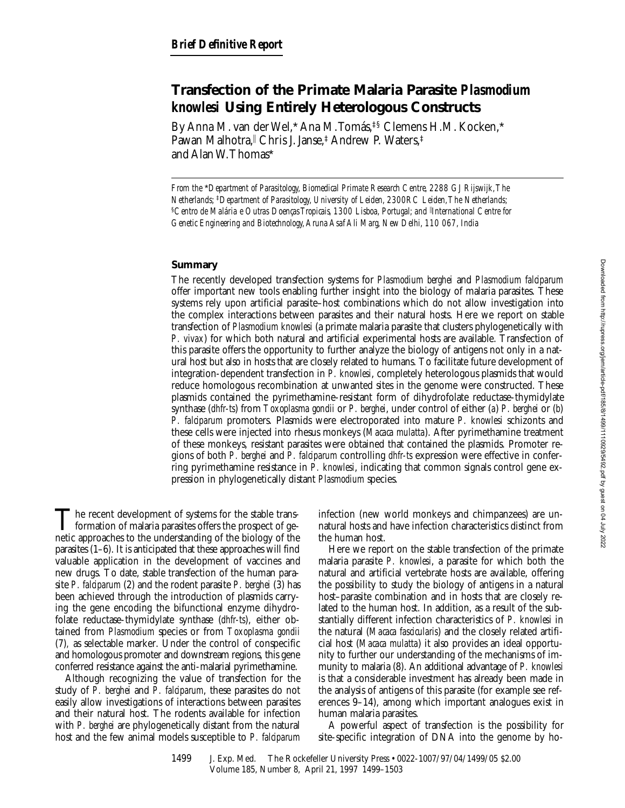# **Transfection of the Primate Malaria Parasite** *Plasmodium knowlesi* **Using Entirely Heterologous Constructs**

By Anna M. van der Wel,\* Ana M. Tomás,‡§ Clemens H.M. Kocken,\* Pawan Malhotra," Chris J. Janse,‡ Andrew P. Waters,‡ and Alan W. Thomas\*

*From the* \**Department of Parasitology, Biomedical Primate Research Centre, 2288 GJ Rijswijk, The Netherlands;* ‡*Department of Parasitology, University of Leiden, 2300RC Leiden, The Netherlands;*  §*Centro de Malária e Outras Doenças Tropicais, 1300 Lisboa, Portugal; and* <sup>i</sup> *International Centre for Genetic Engineering and Biotechnology, Aruna Asaf Ali Marg, New Delhi, 110 067, India*

### **Summary**

The recently developed transfection systems for *Plasmodium berghei* and *Plasmodium falciparum* offer important new tools enabling further insight into the biology of malaria parasites. These systems rely upon artificial parasite–host combinations which do not allow investigation into the complex interactions between parasites and their natural hosts. Here we report on stable transfection of *Plasmodium knowlesi* (a primate malaria parasite that clusters phylogenetically with *P. vivax*) for which both natural and artificial experimental hosts are available. Transfection of this parasite offers the opportunity to further analyze the biology of antigens not only in a natural host but also in hosts that are closely related to humans. To facilitate future development of integration-dependent transfection in *P. knowlesi*, completely heterologous plasmids that would reduce homologous recombination at unwanted sites in the genome were constructed. These plasmids contained the pyrimethamine-resistant form of dihydrofolate reductase-thymidylate synthase (*dhfr-ts*) from *Toxoplasma gondii* or *P. berghei*, under control of either (*a*) *P. berghei* or (*b*) *P. falciparum* promoters. Plasmids were electroporated into mature *P. knowlesi* schizonts and these cells were injected into rhesus monkeys (*Macaca mulatta*). After pyrimethamine treatment of these monkeys, resistant parasites were obtained that contained the plasmids. Promoter regions of both *P. berghei* and *P. falciparum* controlling *dhfr-ts* expression were effective in conferring pyrimethamine resistance in *P. knowlesi*, indicating that common signals control gene expression in phylogenetically distant *Plasmodium* species.

The recent development of systems for the stable trans-<br>formation of malaria parasites offers the prospect of ge-<br>partie approaches to the understanding of the biology of the netic approaches to the understanding of the biology of the parasites (1–6). It is anticipated that these approaches will find valuable application in the development of vaccines and new drugs. To date, stable transfection of the human parasite *P. falciparum* (2) and the rodent parasite *P. berghei* (3) has been achieved through the introduction of plasmids carrying the gene encoding the bifunctional enzyme dihydrofolate reductase-thymidylate synthase (*dhfr-ts*), either obtained from *Plasmodium* species or from *Toxoplasma gondii* (7)*,* as selectable marker. Under the control of conspecific and homologous promoter and downstream regions, this gene conferred resistance against the anti-malarial pyrimethamine.

Although recognizing the value of transfection for the study of *P. berghei* and *P. falciparum*, these parasites do not easily allow investigations of interactions between parasites and their natural host. The rodents available for infection with *P. berghei* are phylogenetically distant from the natural host and the few animal models susceptible to *P. falciparum*

infection (new world monkeys and chimpanzees) are unnatural hosts and have infection characteristics distinct from the human host.

Here we report on the stable transfection of the primate malaria parasite *P. knowlesi*, a parasite for which both the natural and artificial vertebrate hosts are available, offering the possibility to study the biology of antigens in a natural host–parasite combination and in hosts that are closely related to the human host. In addition, as a result of the substantially different infection characteristics of *P. knowlesi* in the natural (*Macaca fascicularis*) and the closely related artificial host (*Macaca mulatta*) it also provides an ideal opportunity to further our understanding of the mechanisms of immunity to malaria (8). An additional advantage of *P. knowlesi* is that a considerable investment has already been made in the analysis of antigens of this parasite (for example see references 9–14), among which important analogues exist in human malaria parasites.

A powerful aspect of transfection is the possibility for site-specific integration of DNA into the genome by ho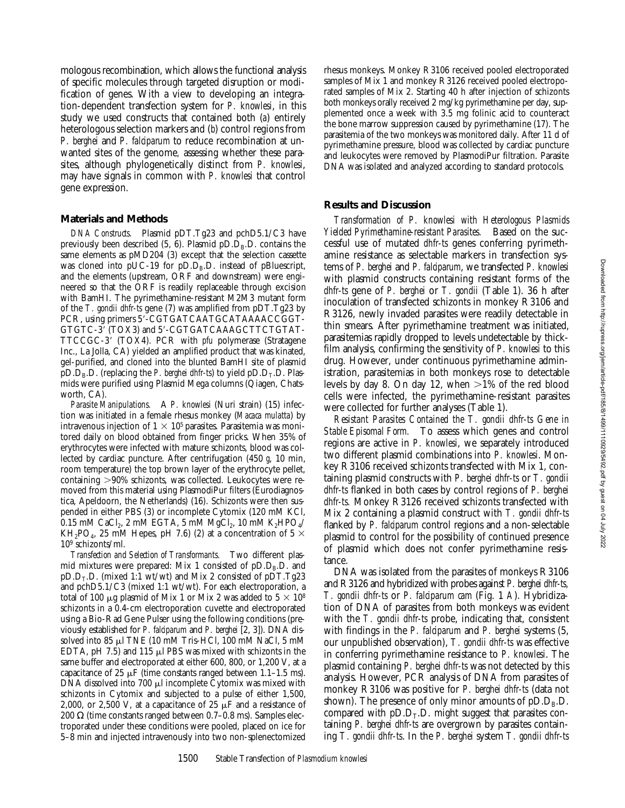mologous recombination, which allows the functional analysis of specific molecules through targeted disruption or modification of genes. With a view to developing an integration-dependent transfection system for *P. knowlesi*, in this study we used constructs that contained both (*a*) entirely heterologous selection markers and (*b*) control regions from *P. berghei* and *P. falciparum* to reduce recombination at unwanted sites of the genome*,* assessing whether these parasites, although phylogenetically distinct from *P. knowlesi*, may have signals in common with *P. knowlesi* that control gene expression.

### **Materials and Methods**

*DNA Constructs.* Plasmid pDT.Tg23 and pchD5.1/C3 have previously been described  $(5, 6)$ . Plasmid  $pD.D<sub>B</sub>.D.$  contains the same elements as pMD204 (3) except that the selection cassette was cloned into  $pUC-19$  for  $pD.D<sub>B</sub>.D$ . instead of pBluescript, and the elements (upstream, ORF and downstream) were engineered so that the ORF is readily replaceable through excision with BamHI. The pyrimethamine-resistant M2M3 mutant form of the *T. gondii dhfr-ts* gene (7) was amplified from pDT.Tg23 by PCR, using primers 5'-CGTGATCAATGCATAAAACCGGT-GTGTC-3' (TOX3) and 5'-CGTGATCAAAGCTTCTGTAT-TTCCGC-3' (TOX4). PCR with *pfu* polymerase (Stratagene Inc., La Jolla, CA) yielded an amplified product that was kinated, gel-purified, and cloned into the blunted BamHI site of plasmid  $pD.D<sub>B</sub>.D.$  (replacing the *P. berghei dhfr-ts*) to yield  $pD.D<sub>T</sub>.D.$  Plasmids were purified using Plasmid Mega columns (Qiagen, Chatsworth, CA).

*Parasite Manipulations.* A *P. knowlesi* (Nuri strain) (15) infection was initiated in a female rhesus monkey (*Macaca mulatta*) by intravenous injection of  $1 \times 10^5$  parasites. Parasitemia was monitored daily on blood obtained from finger pricks. When 35% of erythrocytes were infected with mature schizonts, blood was collected by cardiac puncture. After centrifugation (450 *g*, 10 min, room temperature) the top brown layer of the erythrocyte pellet, containing >90% schizonts, was collected. Leukocytes were removed from this material using PlasmodiPur filters (Eurodiagnostica, Apeldoorn, the Netherlands) (16). Schizonts were then suspended in either PBS (3) or incomplete Cytomix (120 mM KCl, 0.15 mM CaCl<sub>2</sub>, 2 mM EGTA, 5 mM MgCl<sub>2</sub>, 10 mM K<sub>2</sub>HPO<sub>4</sub>/  $KH_2PO_4$ , 25 mM Hepes, pH 7.6) (2) at a concentration of 5  $\times$ 109 schizonts/ml.

*Transfection and Selection of Transformants.* Two different plasmid mixtures were prepared: Mix 1 consisted of  $pD.D<sub>B</sub>.D.$  and  $pD.D<sub>T</sub>.D.$  (mixed 1:1 wt/wt) and Mix 2 consisted of  $pDT.Tg23$ and pchD5.1/C3 (mixed 1:1 wt/wt). For each electroporation, a total of 100 µg plasmid of Mix 1 or Mix 2 was added to  $5 \times 10^8$ schizonts in a 0.4-cm electroporation cuvette and electroporated using a Bio-Rad Gene Pulser using the following conditions (previously established for *P. falciparum* and *P. berghei* [2, 3]). DNA dissolved into 85 µl TNE (10 mM Tris-HCl, 100 mM NaCl, 5 mM EDTA,  $pH$  7.5) and 115  $\mu$ l PBS was mixed with schizonts in the same buffer and electroporated at either 600, 800, or 1,200 V, at a capacitance of 25  $\mu$ F (time constants ranged between 1.1–1.5 ms).  $DNA$  dissolved into 700  $\mu$ l incomplete Cytomix was mixed with schizonts in Cytomix and subjected to a pulse of either 1,500, 2,000, or 2,500 V, at a capacitance of 25  $\mu$ F and a resistance of 200  $\Omega$  (time constants ranged between 0.7–0.8 ms). Samples electroporated under these conditions were pooled, placed on ice for 5–8 min and injected intravenously into two non-splenectomized rhesus monkeys. Monkey R3106 received pooled electroporated samples of Mix 1 and monkey R3126 received pooled electroporated samples of Mix 2. Starting 40 h after injection of schizonts both monkeys orally received 2 mg/kg pyrimethamine per day, supplemented once a week with 3.5 mg folinic acid to counteract the bone marrow suppression caused by pyrimethamine (17). The parasitemia of the two monkeys was monitored daily. After 11 d of pyrimethamine pressure, blood was collected by cardiac puncture and leukocytes were removed by PlasmodiPur filtration. Parasite DNA was isolated and analyzed according to standard protocols.

#### **Results and Discussion**

*Transformation of P. knowlesi with Heterologous Plasmids Yielded Pyrimethamine-resistant Parasites.* Based on the successful use of mutated *dhfr-ts* genes conferring pyrimethamine resistance as selectable markers in transfection systems of *P. berghei* and *P. falciparum*, we transfected *P. knowlesi* with plasmid constructs containing resistant forms of the *dhfr-ts* gene of *P. berghei* or *T. gondii* (Table 1). 36 h after inoculation of transfected schizonts in monkey R3106 and R3126, newly invaded parasites were readily detectable in thin smears. After pyrimethamine treatment was initiated, parasitemias rapidly dropped to levels undetectable by thickfilm analysis, confirming the sensitivity of *P. knowlesi* to this drug. However, under continuous pyrimethamine administration, parasitemias in both monkeys rose to detectable levels by day 8. On day 12, when  $>1\%$  of the red blood cells were infected, the pyrimethamine-resistant parasites were collected for further analyses (Table 1).

*Resistant Parasites Contained the T. gondii dhfr-ts Gene in Stable Episomal Form.* To assess which genes and control regions are active in *P. knowlesi*, we separately introduced two different plasmid combinations into *P. knowlesi*. Monkey R3106 received schizonts transfected with Mix 1, containing plasmid constructs with *P. berghei dhfr-ts* or *T. gondii dhfr-ts* flanked in both cases by control regions of *P. berghei dhfr-ts.* Monkey R3126 received schizonts transfected with Mix 2 containing a plasmid construct with *T. gondii dhfr-ts* flanked by *P. falciparum* control regions and a non-selectable plasmid to control for the possibility of continued presence of plasmid which does not confer pyrimethamine resistance.

DNA was isolated from the parasites of monkeys R3106 and R3126 and hybridized with probes against *P. berghei dhfr-ts, T. gondii dhfr-ts* or *P. falciparum cam* (Fig. 1 *A*). Hybridization of DNA of parasites from both monkeys was evident with the *T. gondii dhfr-ts* probe, indicating that, consistent with findings in the *P. falciparum* and *P. berghei* systems (5, our unpublished observation), *T. gondii dhfr-ts* was effective in conferring pyrimethamine resistance to *P. knowlesi*. The plasmid containing *P. berghei dhfr-ts* was not detected by this analysis. However, PCR analysis of DNA from parasites of monkey R3106 was positive for *P. berghei dhfr-ts* (data not shown). The presence of only minor amounts of  $pD.D<sub>B</sub>.D$ . compared with  $pD.D<sub>T</sub>.D$ . might suggest that parasites containing *P. berghei dhfr-ts* are overgrown by parasites containing *T. gondii dhfr-ts*. In the *P. berghei* system *T. gondii dhfr-ts*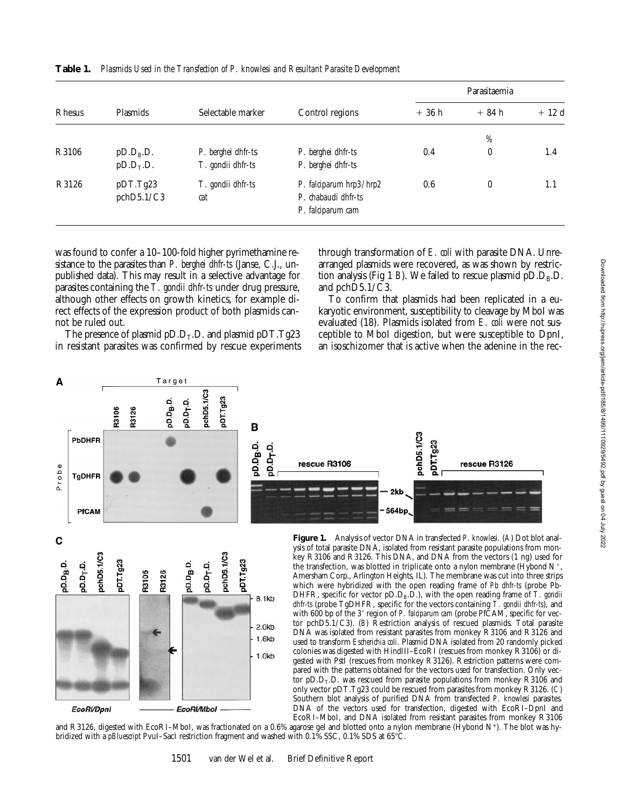| Rhesus | <b>Plasmids</b>                                | Selectable marker                       | Control regions                                                     | Parasitaemia |                  |        |
|--------|------------------------------------------------|-----------------------------------------|---------------------------------------------------------------------|--------------|------------------|--------|
|        |                                                |                                         |                                                                     | $+36h$       | $+84h$           | $+12d$ |
|        |                                                |                                         |                                                                     |              | %                |        |
| R3106  | pD.D <sub>B</sub> .D.<br>pD.D <sub>T</sub> .D. | P. berghei dhfr-ts<br>T. gondii dhfr-ts | P. berghei dhfr-ts<br>P. berghei dhfr-ts                            | 0.4          | $\boldsymbol{0}$ | 1.4    |
| R3126  | pDT.Tg23<br>pchD5.1/C3                         | T. gondii dhfr-ts<br>cat                | P. falciparum hrp3/hrp2<br>P. chabaudi dhfr-ts<br>P. falciparum cam | 0.6          | 0                | 1.1    |

**Table 1.** *Plasmids Used in the Transfection of P. knowlesi and Resultant Parasite Development*

was found to confer a 10–100-fold higher pyrimethamine resistance to the parasites than *P. berghei dhfr-ts* (Janse, C.J., unpublished data). This may result in a selective advantage for parasites containing the *T. gondii dhfr-ts* under drug pressure, although other effects on growth kinetics, for example direct effects of the expression product of both plasmids cannot be ruled out.

The presence of plasmid  $pD.D<sub>T</sub>.D$ . and plasmid  $pDT.Tg23$ in resistant parasites was confirmed by rescue experiments through transformation of *E. coli* with parasite DNA. Unrearranged plasmids were recovered, as was shown by restriction analysis (Fig 1 *B*). We failed to rescue plasmid  $pD.D<sub>B</sub>.D$ . and pchD5.1/C3.

To confirm that plasmids had been replicated in a eukaryotic environment, susceptibility to cleavage by MboI was evaluated (18). Plasmids isolated from *E. coli* were not susceptible to MboI digestion, but were susceptible to DpnI, an isoschizomer that is active when the adenine in the rec-





**Figure 1.** Analysis of vector DNA in transfected *P. knowlesi.* (*A*) Dot blot analysis of total parasite DNA, isolated from resistant parasite populations from monkey R3106 and R3126. This DNA, and DNA from the vectors (1 ng) used for the transfection, was blotted in triplicate onto a nylon membrane (Hybond  $N^+$ , Amersham Corp., Arlington Heights, IL). The membrane was cut into three strips which were hybridized with the open reading frame of *Pb dhfr-ts* (probe Pb-DHFR, specific for vector  $pD.D<sub>B</sub>, D.$ ), with the open reading frame of *T. gondii dhfr-ts* (probe TgDHFR, specific for the vectors containing *T. gondii dhfr-ts*), and with 600 bp of the 3' region of *P. falciparum cam* (probe PfCAM, specific for vector pchD5.1/C3). (*B*) Restriction analysis of rescued plasmids. Total parasite DNA was isolated from resistant parasites from monkey R3106 and R3126 and used to transform *Escherichia coli.* Plasmid DNA isolated from 20 randomly picked colonies was digested with HindIII–EcoRI (rescues from monkey R3106) or digested with PstI (rescues from monkey R3126). Restriction patterns were compared with the patterns obtained for the vectors used for transfection. Only vector  $pD.D<sub>T</sub>$ . Was rescued from parasite populations from monkey R3106 and only vector pDT.Tg23 could be rescued from parasites from monkey R3126. (*C*) Southern blot analysis of purified DNA from transfected *P. knowlesi* parasites. DNA of the vectors used for transfection, digested with EcoRI–DpnI and EcoRI–MboI, and DNA isolated from resistant parasites from monkey R3106

and R3126, digested with EcoRI–MboI, was fractionated on a 0.6% agarose gel and blotted onto a nylon membrane (Hybond N+). The blot was hybridized with a *pBluescript* PvuI–SacI restriction fragment and washed with 0.1% SSC, 0.1% SDS at 65°C.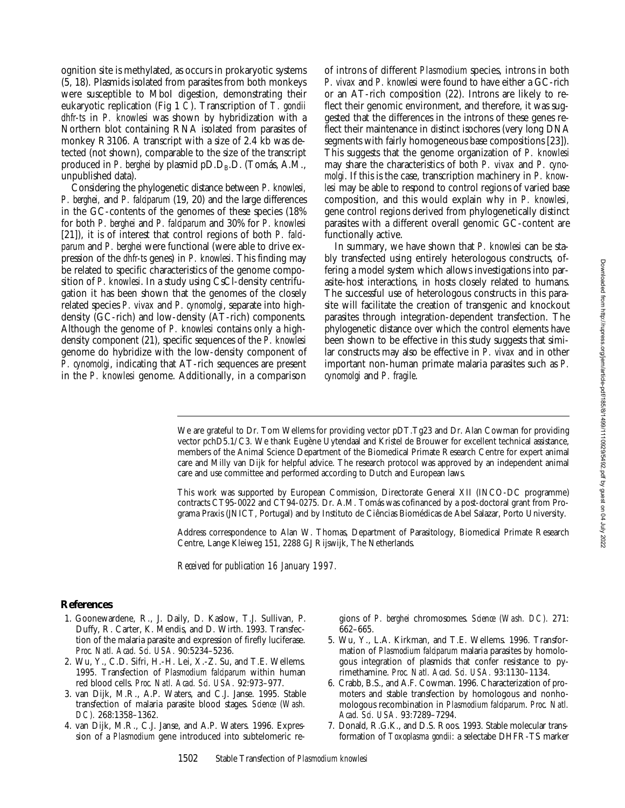ognition site is methylated, as occurs in prokaryotic systems (5, 18). Plasmids isolated from parasites from both monkeys were susceptible to MboI digestion, demonstrating their eukaryotic replication (Fig 1 *C*). Transcription of *T. gondii dhfr-ts* in *P. knowlesi* was shown by hybridization with a Northern blot containing RNA isolated from parasites of monkey R3106. A transcript with a size of 2.4 kb was detected (not shown), comparable to the size of the transcript produced in *P. berghei* by plasmid pD.D<sub>B</sub>.D. (Tomás, A.M., unpublished data).

Considering the phylogenetic distance between *P. knowlesi, P. berghei,* and *P. falciparum* (19, 20) and the large differences in the GC-contents of the genomes of these species (18% for both *P. berghei* and *P. falciparum* and 30% for *P. knowlesi* [21]), it is of interest that control regions of both *P. falciparum* and *P. berghei* were functional (were able to drive expression of the *dhfr-ts* genes) in *P. knowlesi*. This finding may be related to specific characteristics of the genome composition of *P. knowlesi*. In a study using CsCl-density centrifugation it has been shown that the genomes of the closely related species *P. vivax* and *P. cynomolgi*, separate into highdensity (GC-rich) and low-density (AT-rich) components. Although the genome of *P. knowlesi* contains only a highdensity component (21), specific sequences of the *P. knowlesi* genome do hybridize with the low-density component of *P. cynomolgi*, indicating that AT-rich sequences are present in the *P. knowlesi* genome. Additionally, in a comparison

of introns of different *Plasmodium* species, introns in both *P. vivax* and *P. knowlesi* were found to have either a GC-rich or an AT-rich composition (22). Introns are likely to reflect their genomic environment, and therefore, it was suggested that the differences in the introns of these genes reflect their maintenance in distinct isochores (very long DNA segments with fairly homogeneous base compositions [23]). This suggests that the genome organization of *P. knowlesi* may share the characteristics of both *P. vivax* and *P. cynomolgi*. If this is the case, transcription machinery in *P. knowlesi* may be able to respond to control regions of varied base composition, and this would explain why in *P. knowlesi,* gene control regions derived from phylogenetically distinct parasites with a different overall genomic GC-content are functionally active.

In summary, we have shown that *P. knowlesi* can be stably transfected using entirely heterologous constructs, offering a model system which allows investigations into parasite-host interactions, in hosts closely related to humans. The successful use of heterologous constructs in this parasite will facilitate the creation of transgenic and knockout parasites through integration-dependent transfection. The phylogenetic distance over which the control elements have been shown to be effective in this study suggests that similar constructs may also be effective in *P. vivax* and in other important non-human primate malaria parasites such as *P. cynomolgi* and *P. fragile*.

We are grateful to Dr. Tom Wellems for providing vector pDT.Tg23 and Dr. Alan Cowman for providing vector pchD5.1/C3. We thank Eugène Uytendaal and Kristel de Brouwer for excellent technical assistance, members of the Animal Science Department of the Biomedical Primate Research Centre for expert animal care and Milly van Dijk for helpful advice. The research protocol was approved by an independent animal care and use committee and performed according to Dutch and European laws.

This work was supported by European Commission, Directorate General XII (INCO-DC programme) contracts CT95-0022 and CT94-0275. Dr. A.M. Tomás was cofinanced by a post-doctoral grant from Programa Praxis (JNICT, Portugal) and by Instituto de Ciências Biomédicas de Abel Salazar, Porto University.

Address correspondence to Alan W. Thomas, Department of Parasitology, Biomedical Primate Research Centre, Lange Kleiweg 151, 2288 GJ Rijswijk, The Netherlands.

*Received for publication 16 January 1997.*

## **References**

- 1. Goonewardene, R., J. Daily, D. Kaslow, T.J. Sullivan, P. Duffy, R. Carter, K. Mendis, and D. Wirth. 1993. Transfection of the malaria parasite and expression of firefly luciferase. *Proc. Natl. Acad. Sci. USA.* 90:5234–5236.
- 2. Wu, Y., C.D. Sifri, H.-H. Lei, X.-Z. Su, and T.E. Wellems. 1995. Transfection of *Plasmodium falciparum* within human red blood cells. *Proc. Natl. Acad. Sci. USA.* 92:973–977.
- 3. van Dijk, M.R., A.P. Waters, and C.J. Janse. 1995. Stable transfection of malaria parasite blood stages. *Science (Wash. DC).* 268:1358–1362.
- 4. van Dijk, M.R., C.J. Janse, and A.P. Waters. 1996. Expression of a *Plasmodium* gene introduced into subtelomeric re-

gions of *P. berghei* chromosomes. *Science (Wash. DC).* 271: 662–665.

- 5. Wu, Y., L.A. Kirkman, and T.E. Wellems. 1996. Transformation of *Plasmodium falciparum* malaria parasites by homologous integration of plasmids that confer resistance to pyrimethamine. *Proc. Natl. Acad. Sci. USA.* 93:1130–1134.
- 6. Crabb, B.S., and A.F. Cowman. 1996. Characterization of promoters and stable transfection by homologous and nonhomologous recombination in *Plasmodium falciparum*. *Proc. Natl. Acad. Sci. USA.* 93:7289–7294.
- 7. Donald, R.G.K., and D.S. Roos. 1993. Stable molecular transformation of *Toxoplasma gondii*: a selectabe DHFR-TS marker